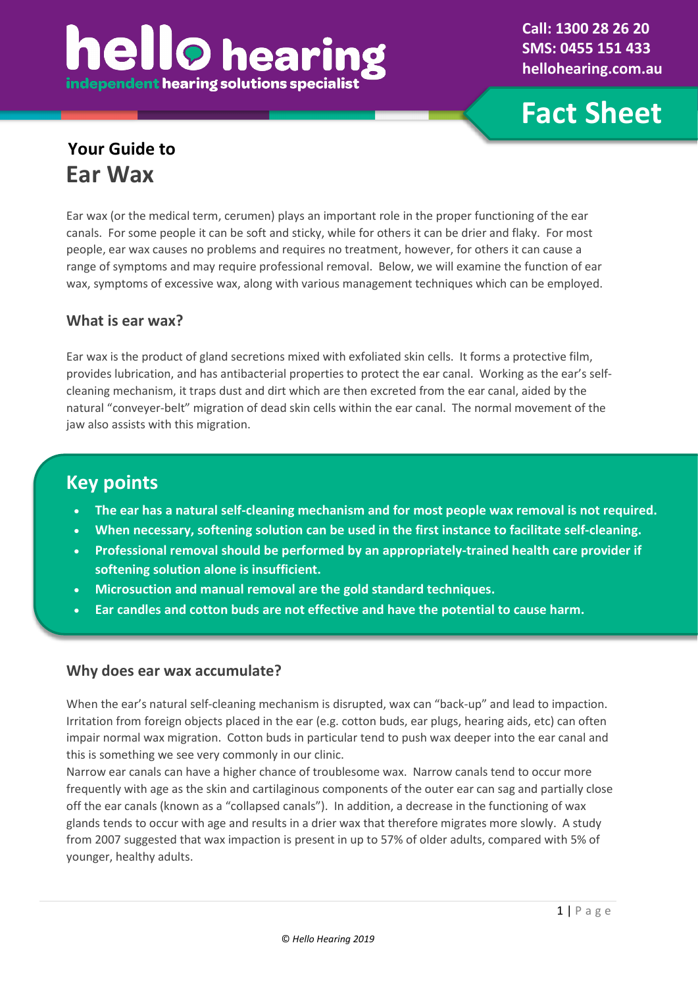# **hello** heari independent hearing solutions specialist

**Call: 1300 28 26 20 SMS: 0455 151 433 hellohearing.com.au**

**Fact Sheet**

### **Your Guide to Ear Wax**

Ear wax (or the medical term, cerumen) plays an important role in the proper functioning of the ear canals. For some people it can be soft and sticky, while for others it can be drier and flaky. For most people, ear wax causes no problems and requires no treatment, however, for others it can cause a range of symptoms and may require professional removal. Below, we will examine the function of ear wax, symptoms of excessive wax, along with various management techniques which can be employed.

#### **What is ear wax?**

Ear wax is the product of gland secretions mixed with exfoliated skin cells. It forms a protective film, provides lubrication, and has antibacterial properties to protect the ear canal. Working as the ear's selfcleaning mechanism, it traps dust and dirt which are then excreted from the ear canal, aided by the natural "conveyer-belt" migration of dead skin cells within the ear canal. The normal movement of the jaw also assists with this migration.

### **Key points**

- **The ear has a natural self-cleaning mechanism and for most people wax removal is not required.**
- **When necessary, softening solution can be used in the first instance to facilitate self-cleaning.**
- **Professional removal should be performed by an appropriately-trained health care provider if softening solution alone is insufficient.**
- **Microsuction and manual removal are the gold standard techniques.**
- **Ear candles and cotton buds are not effective and have the potential to cause harm.**

#### **Why does ear wax accumulate?**

When the ear's natural self-cleaning mechanism is disrupted, wax can "back-up" and lead to impaction. Irritation from foreign objects placed in the ear (e.g. cotton buds, ear plugs, hearing aids, etc) can often impair normal wax migration. Cotton buds in particular tend to push wax deeper into the ear canal and this is something we see very commonly in our clinic.

Narrow ear canals can have a higher chance of troublesome wax. Narrow canals tend to occur more frequently with age as the skin and cartilaginous components of the outer ear can sag and partially close off the ear canals (known as a "collapsed canals"). In addition, a decrease in the functioning of wax glands tends to occur with age and results in a drier wax that therefore migrates more slowly. A study from 2007 suggested that wax impaction is present in up to 57% of older adults, compared with 5% of younger, healthy adults.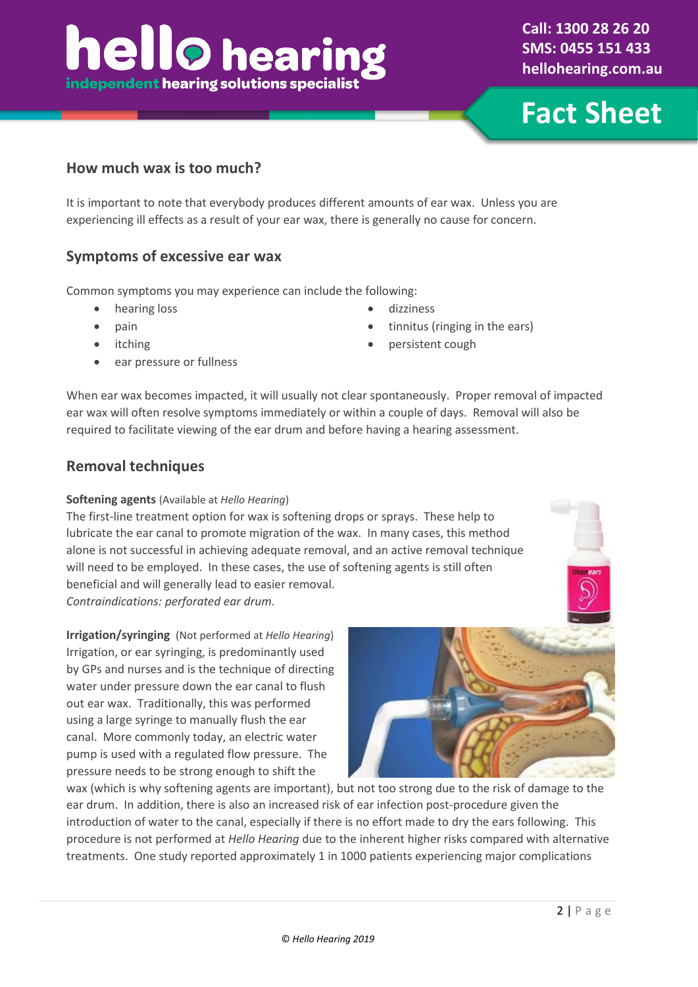## **hello** hearin independent hearing solutions specialist

**Fact Sheet**

#### **How much wax is too much?**

It is important to note that everybody produces different amounts of ear wax. Unless you are experiencing ill effects as a result of your ear wax, there is generally no cause for concern.

#### **Symptoms of excessive ear wax**

Common symptoms you may experience can include the following:

- 
- pain
- **itching**
- ear pressure or fullness
- hearing loss dizziness
	- tinnitus (ringing in the ears)
	- persistent cough

When ear wax becomes impacted, it will usually not clear spontaneously. Proper removal of impacted ear wax will often resolve symptoms immediately or within a couple of days. Removal will also be required to facilitate viewing of the ear drum and before having a hearing assessment.

#### **Removal techniques**

#### **Softening agents** (Available at *Hello Hearing*)

The first-line treatment option for wax is softening drops or sprays. These help to lubricate the ear canal to promote migration of the wax. In many cases, this method alone is not successful in achieving adequate removal, and an active removal technique will need to be employed. In these cases, the use of softening agents is still often beneficial and will generally lead to easier removal. *Contraindications: perforated ear drum.*

**Irrigation/syringing** (Not performed at *Hello Hearing*) Irrigation, or ear syringing, is predominantly used by GPs and nurses and is the technique of directing water under pressure down the ear canal to flush out ear wax. Traditionally, this was performed using a large syringe to manually flush the ear canal. More commonly today, an electric water pump is used with a regulated flow pressure. The

pressure needs to be strong enough to shift the wax (which is why softening agents are important), but not too strong due to the risk of damage to the ear drum. In addition, there is also an increased risk of ear infection post-procedure given the introduction of water to the canal, especially if there is no effort made to dry the ears following. This procedure is not performed at *Hello Hearing* due to the inherent higher risks compared with alternative treatments. One study reported approximately 1 in 1000 patients experiencing major complications

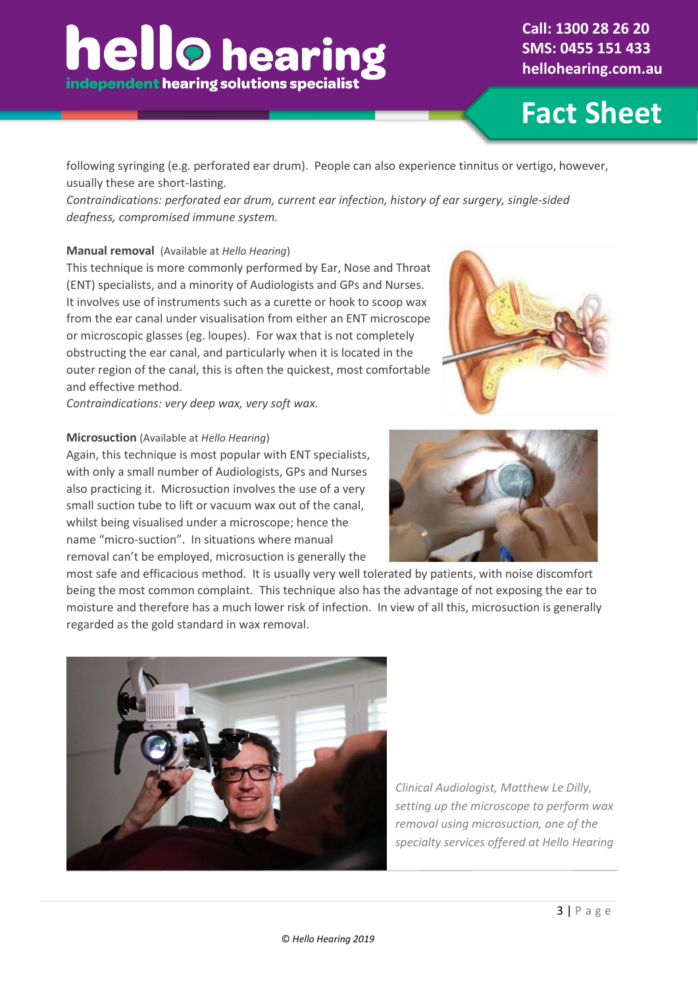**Fact Sheet**

following syringing (e.g. perforated ear drum). People can also experience tinnitus or vertigo, however, usually these are short-lasting.

*Contraindications: perforated ear drum, current ear infection, history of ear surgery, single-sided deafness, compromised immune system.*

#### **Manual removal** (Available at *Hello Hearing*)

This technique is more commonly performed by Ear, Nose and Throat (ENT) specialists, and a minority of Audiologists and GPs and Nurses. It involves use of instruments such as a curette or hook to scoop wax from the ear canal under visualisation from either an ENT microscope or microscopic glasses (eg. loupes). For wax that is not completely obstructing the ear canal, and particularly when it is located in the outer region of the canal, this is often the quickest, most comfortable and effective method.

*Contraindications: very deep wax, very soft wax.*

#### **Microsuction** (Available at *Hello Hearing*)

Again, this technique is most popular with ENT specialists, with only a small number of Audiologists, GPs and Nurses also practicing it. Microsuction involves the use of a very small suction tube to lift or vacuum wax out of the canal, whilst being visualised under a microscope; hence the name "micro-suction". In situations where manual removal can't be employed, microsuction is generally the



most safe and efficacious method. It is usually very well tolerated by patients, with noise discomfort being the most common complaint. This technique also has the advantage of not exposing the ear to moisture and therefore has a much lower risk of infection. In view of all this, microsuction is generally regarded as the gold standard in wax removal.



*Clinical Audiologist, Matthew Le Dilly, setting up the microscope to perform wax removal using microsuction, one of the specialty services offered at Hello Hearing*